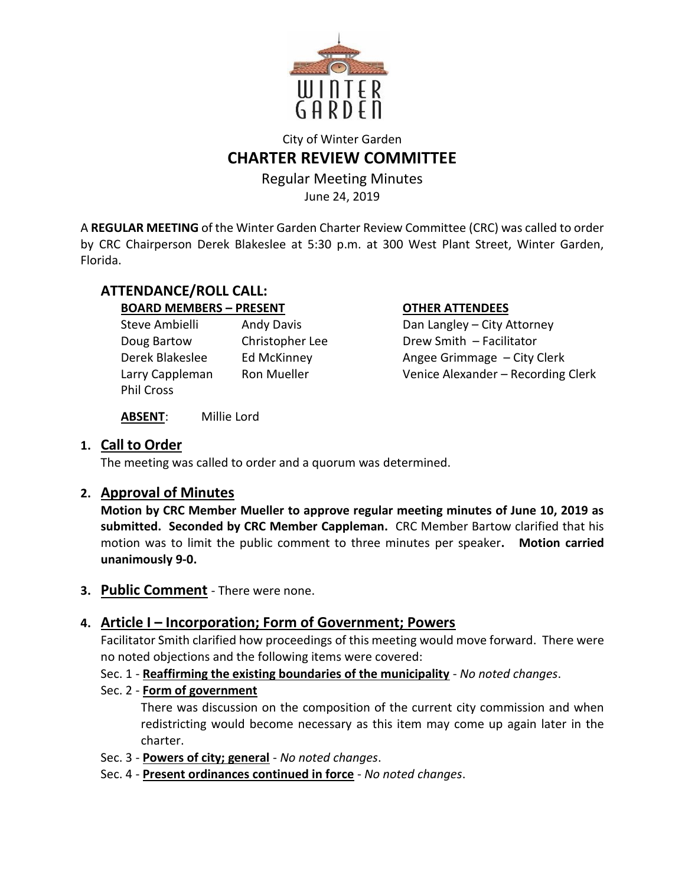

### City of Winter Garden

# **CHARTER REVIEW COMMITTEE**

Regular Meeting Minutes

June 24, 2019

A **REGULAR MEETING** of the Winter Garden Charter Review Committee (CRC) was called to order by CRC Chairperson Derek Blakeslee at 5:30 p.m. at 300 West Plant Street, Winter Garden, Florida.

# **ATTENDANCE/ROLL CALL:**

| <b>BOARD MEMBERS - PRESENT</b> |  |
|--------------------------------|--|
|                                |  |

Steve Ambielli Andy Davis **Dan Langley – City Attorney** Doug Bartow Christopher Lee **Drew Smith – Facilitator** Derek Blakeslee Ed McKinney **Angee Grimmage** – City Clerk Larry Cappleman Ron Mueller Venice Alexander – Recording Clerk Phil Cross

## **BOTHER ATTENDEES**

**ABSENT**: Millie Lord

# **1. Call to Order**

The meeting was called to order and a quorum was determined.

# **2. Approval of Minutes**

**Motion by CRC Member Mueller to approve regular meeting minutes of June 10, 2019 as submitted. Seconded by CRC Member Cappleman.** CRC Member Bartow clarified that his motion was to limit the public comment to three minutes per speaker**. Motion carried unanimously 9-0.** 

**3. Public Comment** - There were none.

# **4. Article I – Incorporation; Form of Government; Powers**

Facilitator Smith clarified how proceedings of this meeting would move forward. There were no noted objections and the following items were covered:

- Sec. 1 **Reaffirming the existing boundaries of the municipality**  *No noted changes*.
- Sec. 2 **Form of government**

There was discussion on the composition of the current city commission and when redistricting would become necessary as this item may come up again later in the charter.

- Sec. 3 **Powers of city; general**  *No noted changes*.
- Sec. 4 **Present ordinances continued in force**  *No noted changes*.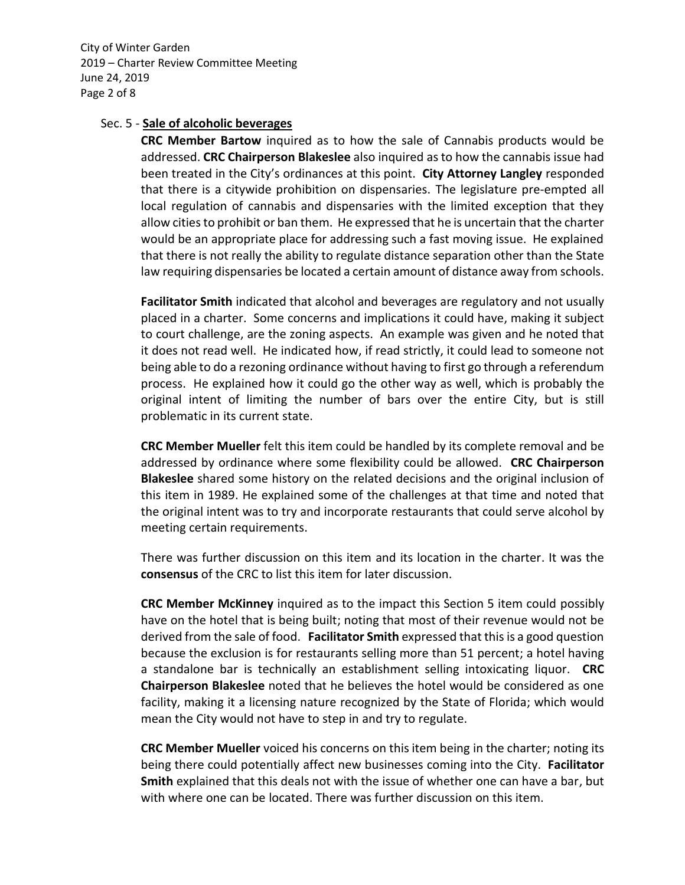City of Winter Garden 2019 – Charter Review Committee Meeting June 24, 2019 Page 2 of 8

#### Sec. 5 - **Sale of alcoholic beverages**

 **CRC Member Bartow** inquired as to how the sale of Cannabis products would be been treated in the City's ordinances at this point. **City Attorney Langley** responded that there is a citywide prohibition on dispensaries. The legislature pre-empted all local regulation of cannabis and dispensaries with the limited exception that they allow cities to prohibit or ban them. He expressed that he is uncertain that the charter would be an appropriate place for addressing such a fast moving issue. He explained that there is not really the ability to regulate distance separation other than the State law requiring dispensaries be located a certain amount of distance away from schools. addressed. **CRC Chairperson Blakeslee** also inquired as to how the cannabis issue had

 placed in a charter. Some concerns and implications it could have, making it subject to court challenge, are the zoning aspects. An example was given and he noted that it does not read well. He indicated how, if read strictly, it could lead to someone not being able to do a rezoning ordinance without having to first go through a referendum process. He explained how it could go the other way as well, which is probably the original intent of limiting the number of bars over the entire City, but is still problematic in its current state. **Facilitator Smith** indicated that alcohol and beverages are regulatory and not usually

 **CRC Member Mueller** felt this item could be handled by its complete removal and be **Blakeslee** shared some history on the related decisions and the original inclusion of this item in 1989. He explained some of the challenges at that time and noted that the original intent was to try and incorporate restaurants that could serve alcohol by addressed by ordinance where some flexibility could be allowed. **CRC Chairperson**  meeting certain requirements.

 There was further discussion on this item and its location in the charter. It was the **consensus** of the CRC to list this item for later discussion.

 **CRC Member McKinney** inquired as to the impact this Section 5 item could possibly have on the hotel that is being built; noting that most of their revenue would not be derived from the sale of food. **Facilitator Smith** expressed that this is a good question because the exclusion is for restaurants selling more than 51 percent; a hotel having **Chairperson Blakeslee** noted that he believes the hotel would be considered as one facility, making it a licensing nature recognized by the State of Florida; which would mean the City would not have to step in and try to regulate. a standalone bar is technically an establishment selling intoxicating liquor. **CRC** 

 **CRC Member Mueller** voiced his concerns on this item being in the charter; noting its being there could potentially affect new businesses coming into the City. **Facilitator Smith** explained that this deals not with the issue of whether one can have a bar, but with where one can be located. There was further discussion on this item.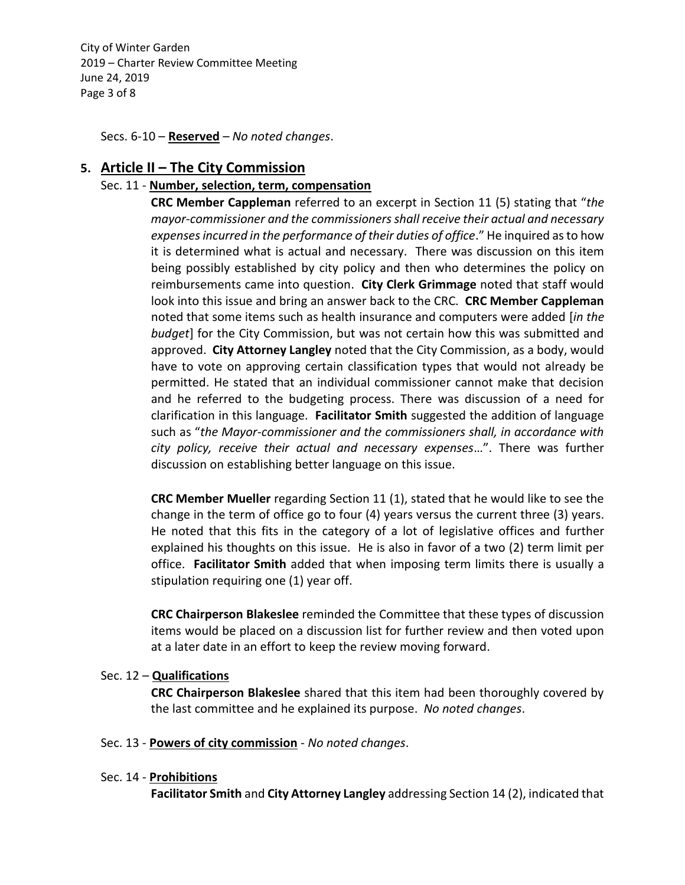City of Winter Garden 2019 – Charter Review Committee Meeting June 24, 2019 Page 3 of 8

Secs. 6-10 – **Reserved** – *No noted changes*.

## **5. Article II – The City Commission**

## Sec. 11 - **Number, selection, term, compensation**

**CRC Member Cappleman** referred to an excerpt in Section 11 (5) stating that "*the mayor-commissioner and the commissioners shall receive their actual and necessary expenses incurred in the performance of their duties of office*." He inquired as to how it is determined what is actual and necessary. There was discussion on this item being possibly established by city policy and then who determines the policy on reimbursements came into question. **City Clerk Grimmage** noted that staff would look into this issue and bring an answer back to the CRC. **CRC Member Cappleman**  noted that some items such as health insurance and computers were added [*in the budget*] for the City Commission, but was not certain how this was submitted and approved. **City Attorney Langley** noted that the City Commission, as a body, would have to vote on approving certain classification types that would not already be permitted. He stated that an individual commissioner cannot make that decision and he referred to the budgeting process. There was discussion of a need for clarification in this language. **Facilitator Smith** suggested the addition of language such as "*the Mayor-commissioner and the commissioners shall, in accordance with city policy, receive their actual and necessary expenses*…". There was further discussion on establishing better language on this issue.

**CRC Member Mueller** regarding Section 11 (1), stated that he would like to see the change in the term of office go to four (4) years versus the current three (3) years. He noted that this fits in the category of a lot of legislative offices and further explained his thoughts on this issue. He is also in favor of a two (2) term limit per office. **Facilitator Smith** added that when imposing term limits there is usually a stipulation requiring one (1) year off.

**CRC Chairperson Blakeslee** reminded the Committee that these types of discussion items would be placed on a discussion list for further review and then voted upon at a later date in an effort to keep the review moving forward.

## Sec. 12 – **Qualifications**

**CRC Chairperson Blakeslee** shared that this item had been thoroughly covered by the last committee and he explained its purpose. *No noted changes*.

#### Sec. 13 - **Powers of city commission** - *No noted changes*.

#### Sec. 14 - **Prohibitions**

**Facilitator Smith** and **City Attorney Langley** addressing Section 14 (2), indicated that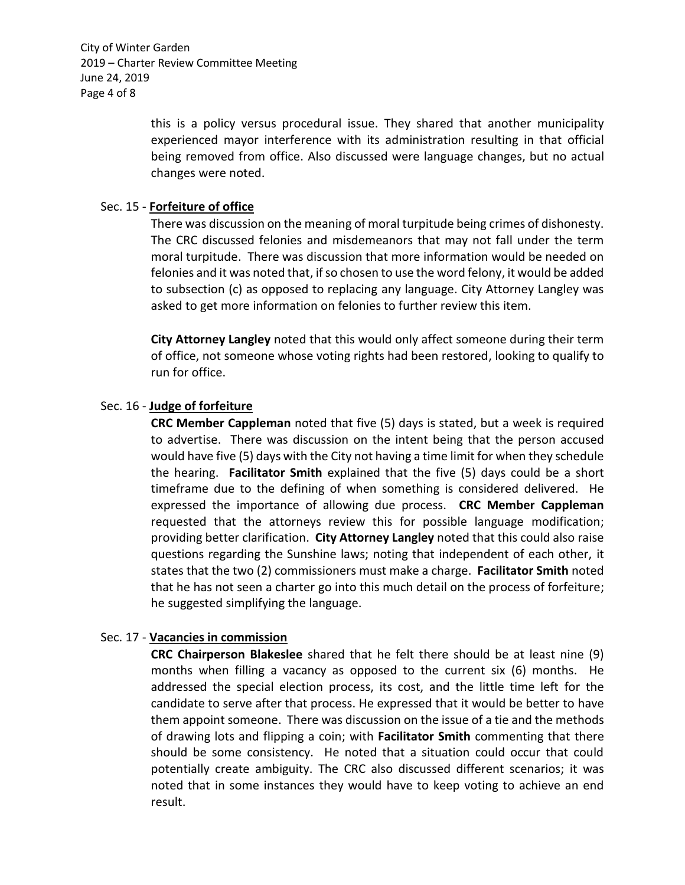City of Winter Garden 2019 – Charter Review Committee Meeting June 24, 2019 Page 4 of 8

> this is a policy versus procedural issue. They shared that another municipality experienced mayor interference with its administration resulting in that official being removed from office. Also discussed were language changes, but no actual changes were noted.

## Sec. 15 - **Forfeiture of office**

There was discussion on the meaning of moral turpitude being crimes of dishonesty. The CRC discussed felonies and misdemeanors that may not fall under the term moral turpitude. There was discussion that more information would be needed on felonies and it was noted that, if so chosen to use the word felony, it would be added to subsection (c) as opposed to replacing any language. City Attorney Langley was asked to get more information on felonies to further review this item.

**City Attorney Langley** noted that this would only affect someone during their term of office, not someone whose voting rights had been restored, looking to qualify to run for office.

## Sec. 16 - **Judge of forfeiture**

**CRC Member Cappleman** noted that five (5) days is stated, but a week is required to advertise. There was discussion on the intent being that the person accused would have five (5) days with the City not having a time limit for when they schedule the hearing. **Facilitator Smith** explained that the five (5) days could be a short timeframe due to the defining of when something is considered delivered. He expressed the importance of allowing due process. **CRC Member Cappleman**  requested that the attorneys review this for possible language modification; providing better clarification. **City Attorney Langley** noted that this could also raise questions regarding the Sunshine laws; noting that independent of each other, it states that the two (2) commissioners must make a charge. **Facilitator Smith** noted that he has not seen a charter go into this much detail on the process of forfeiture; he suggested simplifying the language.

## Sec. 17 - **Vacancies in commission**

**CRC Chairperson Blakeslee** shared that he felt there should be at least nine (9) months when filling a vacancy as opposed to the current six (6) months. He addressed the special election process, its cost, and the little time left for the candidate to serve after that process. He expressed that it would be better to have them appoint someone. There was discussion on the issue of a tie and the methods of drawing lots and flipping a coin; with **Facilitator Smith** commenting that there should be some consistency. He noted that a situation could occur that could potentially create ambiguity. The CRC also discussed different scenarios; it was noted that in some instances they would have to keep voting to achieve an end result.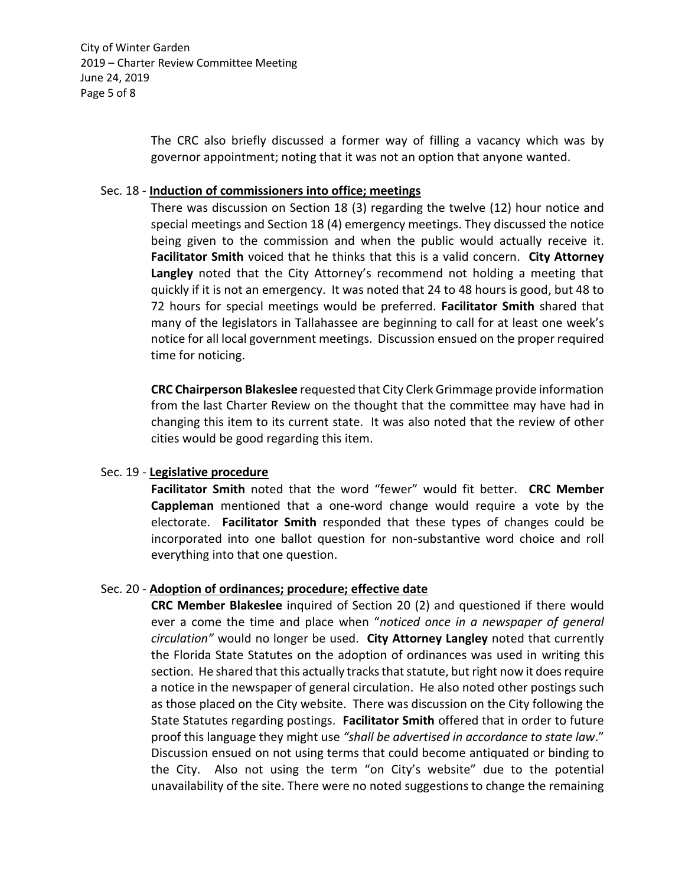City of Winter Garden 2019 – Charter Review Committee Meeting June 24, 2019 Page 5 of 8

> The CRC also briefly discussed a former way of filling a vacancy which was by governor appointment; noting that it was not an option that anyone wanted.

#### Sec. 18 - **Induction of commissioners into office; meetings**

There was discussion on Section 18 (3) regarding the twelve (12) hour notice and special meetings and Section 18 (4) emergency meetings. They discussed the notice being given to the commission and when the public would actually receive it. **Facilitator Smith** voiced that he thinks that this is a valid concern. **City Attorney Langley** noted that the City Attorney's recommend not holding a meeting that quickly if it is not an emergency. It was noted that 24 to 48 hours is good, but 48 to 72 hours for special meetings would be preferred. **Facilitator Smith** shared that many of the legislators in Tallahassee are beginning to call for at least one week's notice for all local government meetings. Discussion ensued on the proper required time for noticing.

**CRC Chairperson Blakeslee** requested that City Clerk Grimmage provide information from the last Charter Review on the thought that the committee may have had in changing this item to its current state. It was also noted that the review of other cities would be good regarding this item.

## Sec. 19 - **Legislative procedure**

**Facilitator Smith** noted that the word "fewer" would fit better. **CRC Member Cappleman** mentioned that a one-word change would require a vote by the electorate. **Facilitator Smith** responded that these types of changes could be incorporated into one ballot question for non-substantive word choice and roll everything into that one question.

## Sec. 20 - **Adoption of ordinances; procedure; effective date**

**CRC Member Blakeslee** inquired of Section 20 (2) and questioned if there would ever a come the time and place when "*noticed once in a newspaper of general circulation"* would no longer be used. **City Attorney Langley** noted that currently the Florida State Statutes on the adoption of ordinances was used in writing this section. He shared that this actually tracks that statute, but right now it does require a notice in the newspaper of general circulation. He also noted other postings such as those placed on the City website. There was discussion on the City following the State Statutes regarding postings. **Facilitator Smith** offered that in order to future proof this language they might use *"shall be advertised in accordance to state law*." Discussion ensued on not using terms that could become antiquated or binding to the City. Also not using the term "on City's website" due to the potential unavailability of the site. There were no noted suggestions to change the remaining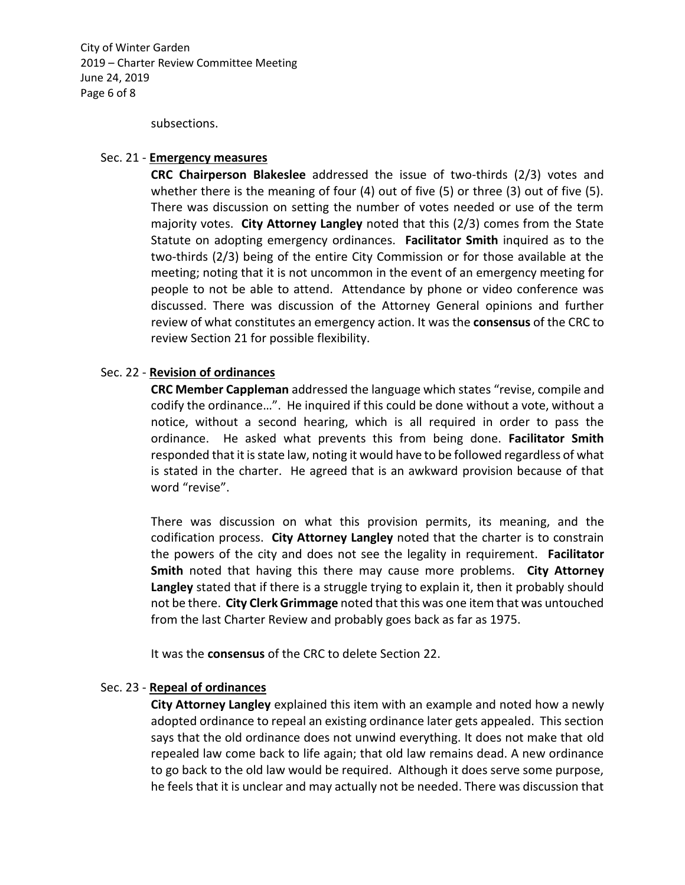City of Winter Garden 2019 – Charter Review Committee Meeting June 24, 2019 Page 6 of 8

subsections.

#### Sec. 21 - **Emergency measures**

**CRC Chairperson Blakeslee** addressed the issue of two-thirds (2/3) votes and whether there is the meaning of four (4) out of five (5) or three (3) out of five (5). There was discussion on setting the number of votes needed or use of the term majority votes. **City Attorney Langley** noted that this (2/3) comes from the State Statute on adopting emergency ordinances. **Facilitator Smith** inquired as to the two-thirds (2/3) being of the entire City Commission or for those available at the meeting; noting that it is not uncommon in the event of an emergency meeting for people to not be able to attend. Attendance by phone or video conference was discussed. There was discussion of the Attorney General opinions and further review of what constitutes an emergency action. It was the **consensus** of the CRC to review Section 21 for possible flexibility.

## Sec. 22 - **Revision of ordinances**

**CRC Member Cappleman** addressed the language which states "revise, compile and codify the ordinance…". He inquired if this could be done without a vote, without a notice, without a second hearing, which is all required in order to pass the ordinance. He asked what prevents this from being done. **Facilitator Smith**  responded that it is state law, noting it would have to be followed regardless of what is stated in the charter. He agreed that is an awkward provision because of that word "revise".

There was discussion on what this provision permits, its meaning, and the codification process. **City Attorney Langley** noted that the charter is to constrain the powers of the city and does not see the legality in requirement. **Facilitator Smith** noted that having this there may cause more problems. **City Attorney Langley** stated that if there is a struggle trying to explain it, then it probably should not be there. **City Clerk Grimmage** noted that this was one item that was untouched from the last Charter Review and probably goes back as far as 1975.

It was the **consensus** of the CRC to delete Section 22.

## Sec. 23 - **Repeal of ordinances**

**City Attorney Langley** explained this item with an example and noted how a newly adopted ordinance to repeal an existing ordinance later gets appealed. This section says that the old ordinance does not unwind everything. It does not make that old repealed law come back to life again; that old law remains dead. A new ordinance to go back to the old law would be required. Although it does serve some purpose, he feels that it is unclear and may actually not be needed. There was discussion that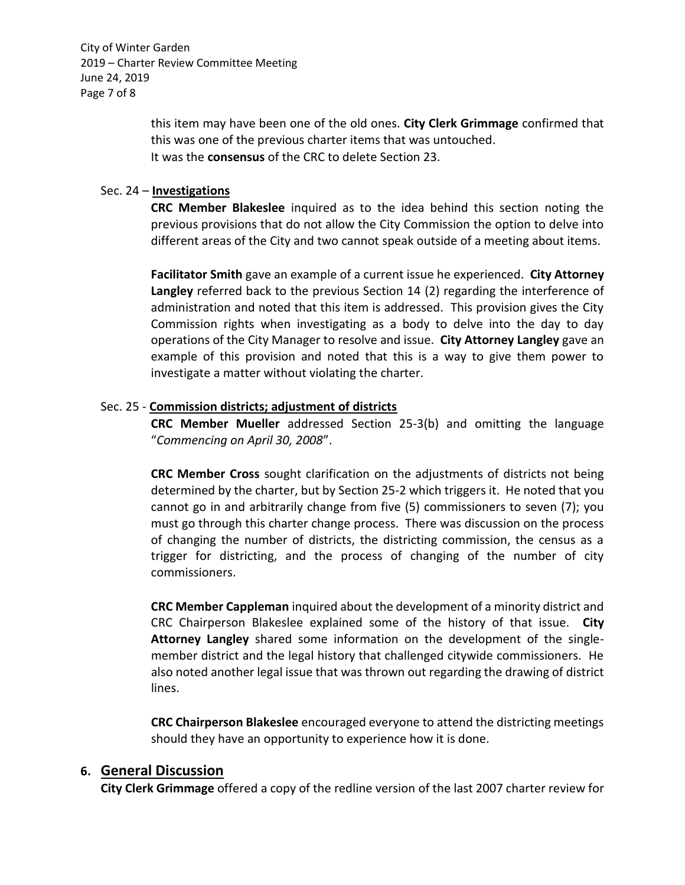City of Winter Garden 2019 – Charter Review Committee Meeting June 24, 2019 Page 7 of 8

> this item may have been one of the old ones. **City Clerk Grimmage** confirmed that this was one of the previous charter items that was untouched. It was the **consensus** of the CRC to delete Section 23.

#### Sec. 24 – **Investigations**

**CRC Member Blakeslee** inquired as to the idea behind this section noting the previous provisions that do not allow the City Commission the option to delve into different areas of the City and two cannot speak outside of a meeting about items.

**Facilitator Smith** gave an example of a current issue he experienced. **City Attorney Langley** referred back to the previous Section 14 (2) regarding the interference of administration and noted that this item is addressed. This provision gives the City Commission rights when investigating as a body to delve into the day to day operations of the City Manager to resolve and issue. **City Attorney Langley** gave an example of this provision and noted that this is a way to give them power to investigate a matter without violating the charter.

#### Sec. 25 - **Commission districts; adjustment of districts**

**CRC Member Mueller** addressed Section 25-3(b) and omitting the language "*Commencing on April 30, 2008*".

**CRC Member Cross** sought clarification on the adjustments of districts not being determined by the charter, but by Section 25-2 which triggers it. He noted that you cannot go in and arbitrarily change from five (5) commissioners to seven (7); you must go through this charter change process. There was discussion on the process of changing the number of districts, the districting commission, the census as a trigger for districting, and the process of changing of the number of city commissioners.

**CRC Member Cappleman** inquired about the development of a minority district and CRC Chairperson Blakeslee explained some of the history of that issue. **City Attorney Langley** shared some information on the development of the singlemember district and the legal history that challenged citywide commissioners. He also noted another legal issue that was thrown out regarding the drawing of district lines.

**CRC Chairperson Blakeslee** encouraged everyone to attend the districting meetings should they have an opportunity to experience how it is done.

## **6. General Discussion**

**City Clerk Grimmage** offered a copy of the redline version of the last 2007 charter review for